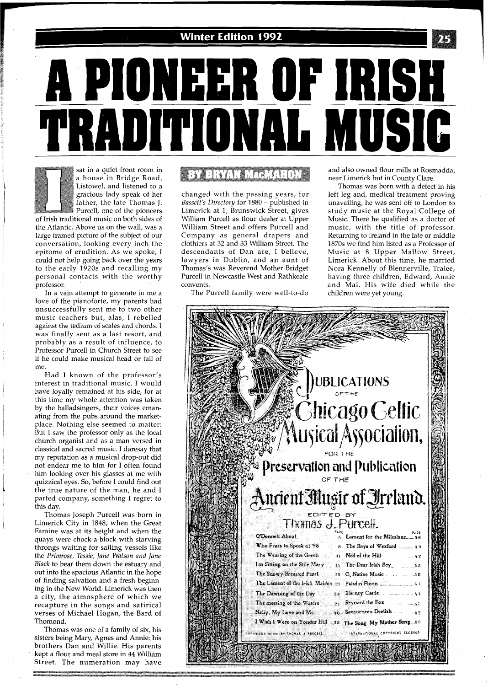

**A PIONEER OF IRISH<br>FRADITIONAL MUSIC** 

sat in a quiet front room in a house in Bridge Road, Listowel, and listened to a gracious lady speak of her father, the late Thomas J. Purcell, one of the pioneers

of Irish traditional music on both sides of the Atlantic. Above us on the wall, was a large framed picture of the subject of our conversation, looking every inch the epitome of erudition. As we spoke, I could not help going back over the years to the early 1920s and recalling my personal contacts with the worthy professor. '

In a vain attempt to generate in me a love of the pianoforte, my parents had unsuccessfully sent me to two other music teachers but, alas, I rebelled against the tedium of scales and chords. I was finally sent as a last resort, and probably as a result of influence, to Professor Purcell in Church Street to see if he could make musical head or tail of me.

Had I known of the professor's interest in traditional music, I would have loyally remained at his side, for at this time my whole attention was taken by the balladsingers, their voices emanating from the pubs around the marketplace. Nothing else seemed to matter: But I saw the professor only as the local church organist and as a man versed in classical and sacred music. I daresay that my reputation as a musical drop-out did not endear me to him for I often found him looking over his glasses at me with quizzical eyes. So, before I could find out the true nature of the man, he and I parted company, something I regret to this day.

Thomas Joseph Purcell was born in Limerick City in 1848, when the Great Famine was at its height and when the quays were chock-a-block with starving throngs waiting for sailing vessels like the Primrose, Tessie, Jane Watson and Jane Black to bear them down the estuary and out into the spacious Atlantic in the hope of finding salvation and a fresh beginning in the New World. Limerick was then a city, the atmosphere of which we recapture in the songs and satirical verses of Michael Hogan, the Bard of Thomond.

Thomas was one of a family of six, his sisters being Mary, Agnes and Annie: his brothers Dan and Willie. His parents kept a flour and meal store in 44 William Street. The numeration may have

## **BY BRYAN MAGMARDN**

changed with the passing years, for Bassett's Directory for 1880 - published in Limerick at 1, Brunswick Street, gives William Purcell as flour dealer at Upper William Street and offers Purcell and Company as general drapers and clothiers at 32 and 33 William Street. The descendants of Dan are, I believe, lawyers in Dublin, and an aunt of Thomas's was Reverend Mother Bridget Purcell in Newcastle West and Rathkeale convents.

The Purcell family were well-to-do

and also owned flour mills at Rosmadda, near Limerick but in County Clare.

Thomas was born with a defect in his left leg and, medical treatment proving unavailing, he was sent off to London to study music at the Royal College of Music. There he qualified as a doctor of music, with the title of professor. Returning to Ireland in the late or middle 1870s we find him listed as a Professor of Music at 8 Upper Mallow Street, Limerick. About this time, he married Nora Kennelly of Blennerville, Tralee, having three children, Edward, Annie and Mai. His wife died while the children were yet young.

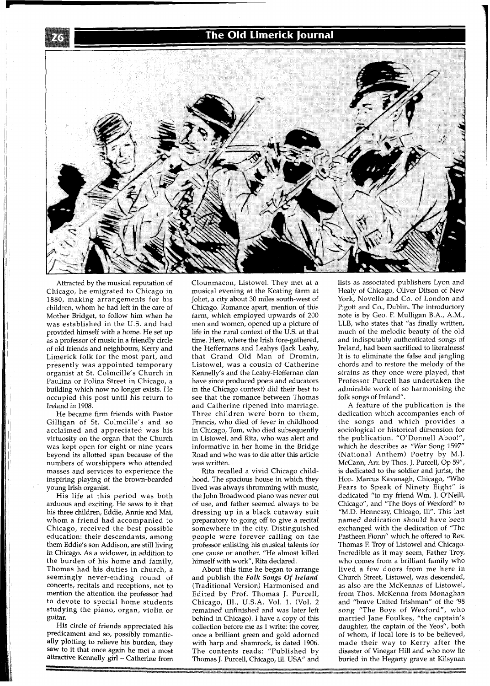## **The Old Limerick Journal**



Attracted by the musical reputation of Chicago, he emigrated to chicago in 1880, making arrangements for his children, whom he had left in the care of Mother Bridget, to follow him when he was established in the U.S. and had provided himself with a home. He set up as a professor of music in a friendly circle of old friends and neighbours, Kerry and Limerick folk for the most part, and presently was appointed temporary organist at St. Colmcille's Church in Paulina or Polina Street in Chicago, a building which now no longer exists. He occupied this post until his return to Ireland in 1908.

He became firm friends with Pastor Gilligan of St. Colmcille's and so acclaimed and appreciated was his virtuosity on the organ that the Church was kept open for eight or nine years beyond its allotted span because of the numbers of worshippers who attended masses and services to experience the inspiring playing of the brown-bearded young Irish organist.

His life at this period was both arduous and exciting. He saws to it that his three children, Eddie, Annie and Mai, whom a friend had accompanied to Chicago, received the best possible education: their descendants, among them Eddie's son Addison, are still living in Chicago. As a widower, in addition to the burden of his home and family, Thomas had his duties in church, a seemingly never-ending round of concerts, recitals and receptions, not to mention the attention the professor had to devote to special home students studying the piano, organ, violin or guitar.

His circle of friends appreciated his predicament and so, possibly romantically plotting to relieve his burden, they saw to it that once again he met a most attractive Kennelly girl - Catherine from

Clounmacon, Listowel. They met at a musical evening at the Keating farm at Joliet, a city about 30 miles south-west of Chicago. Romance apart, mention of this farm, which employed upwards of 200 men and women, opened up a picture of life in the rural context of the US. at that time. Here, where the Irish fore-gathered, the Heffernans and Leahys (Jack Leahy, that Grand Old Man of Dromin, Listowel, was a cousin of Catherine Kennelly's and the Leahy-Heffernan clan have since produced poets and educators in the Chicago context) did their best to see that the romance between Thomas and Catherine ripened into marriage. Three children were' born to them, Francis, who died of fever in childhood in Chicago, Tom, who died subsequently in Listowel, and Rita, who was alert and informative in her home in the Bridge Road and who was to die after this article was written.

Rita recalled a vivid Chicago childhood. The spacious house in which they lived was always thrumming with music, the John Broadwood piano was never out of use, and father seemed always to be dressing up in a black cutaway suit preparatory to going off to give a recital somewhere in the city. Distinguished people were forever calling on the professor enlisting his musical talents for one cause or another. "He almost killed himself with work", Rita declared.

About this time he began to arrange and publish the *Folk Songs* Of *Ireland*  (Traditional Version) Harmonised and Edited by Prof. Thomas J. Purcell, Chicago, Ill., U.S.A. Vol. 1. (Vol. 2 remained unfinished and was later left behind in Chicago). I have a copy of this collection before me as I write: the cover, once a brilliant green and gold adorned with harp and shamrock, is dated 1906. The contents reads: "Published by Thomas J. Purcell, Chicago, Ill. USA" and

lists as associated publishers Lyon and Healy of Chicago, Oliver Ditson of New York, Novello and Co. of London and Pigott and Co., Dublin. The introductory note is by Geo. F. Mulligan B.A., A.M., LLB, who states that "as finally written, much of the melodic beauty of the old and indisputably authenticated songs of Ireland, had been sacrificed to literalness! It is to eliminate the false and jangling chords and to restore the melody of the strains as they once were played, that Professor Purcell has undertaken the admirable work of so harmonising the folk songs of Ireland".

A feature of the publication is the dedication which accompanies each of the songs and which provides a sociological or historical dimension for the publication. "O'Donnell Aboo!", which he describes as "War Song 1597" (National Anthem) Poetry by M.J. McCann, Arr. by Thos. J. Purcell, Op 59", is dedicated to the soldier and jurist, the Hon. Marcus Kavanagh, Chicago, "Who Fears to Speak of Ninety Eight" is dedicated "to my friend Wm. J. O'Neill, Chicago", and "The Boys of Wexford" to "M.D. Hennessy, Chicago, Ill". This last named dedication should have been exchanged with the dedication of "The Pastheen Fionn" which he offered to Rev. Thomas F. Troy of Listowel and Chicago. Incredible as it may seem, Father Troy, who comes from a brilliant family who lived a few doors from me here in Church Street, Listowel, was descended, as also are the McKennas of Listowel, from Thos. McKenna from Monaghan and "brave United Irishman" of the '98 song "The Boys of Wexford", who married Jane Foulkes, "the captain's daughter, the captain of the Yeos", both of whom, if local lore is to be believed, made their way to Kerry after the disaster of Vinegar Hill and who now lie buried in the Hegarty grave at Kilsynan